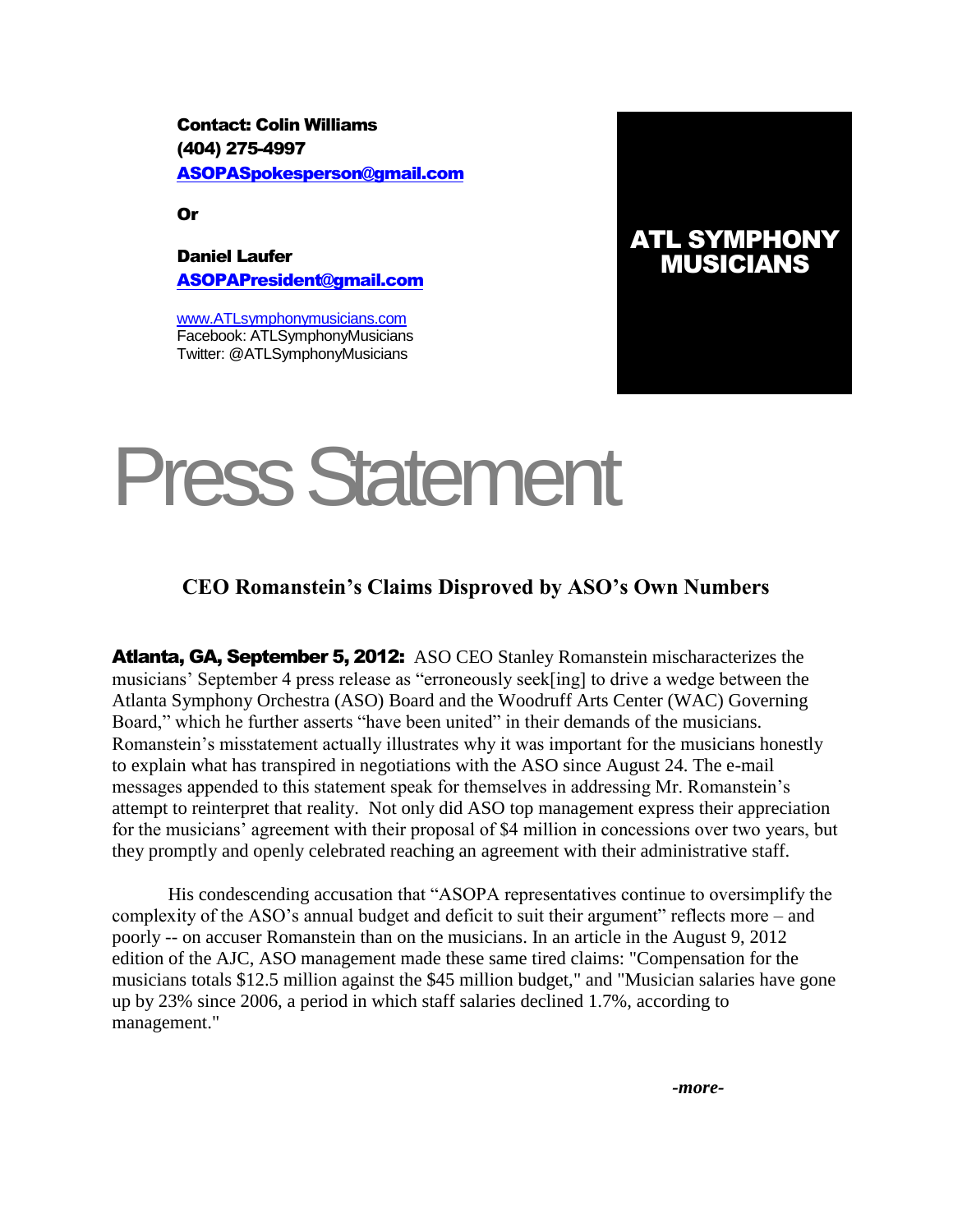Contact: Colin Williams (404) 275-4997 [ASOPASpokesperson@gmail.com](mailto:ASOPASpokesperson@gmail.com)

Or

Daniel Laufer [ASOPAPresident@gmail.com](mailto:ASOPAPresident@gmail.com)

[www.ATLsymphonymusicians.com](http://www.atlsymphonymusicians.com/) Facebook: ATLSymphonyMusicians Twitter: @ATLSymphonyMusicians

## ATL SYMPHONY MUSICIANS

## Press Statement

## **CEO Romanstein's Claims Disproved by ASO's Own Numbers**

Atlanta, GA, September 5, 2012: ASO CEO Stanley Romanstein mischaracterizes the musicians' September 4 press release as "erroneously seek[ing] to drive a wedge between the Atlanta Symphony Orchestra (ASO) Board and the Woodruff Arts Center (WAC) Governing Board," which he further asserts "have been united" in their demands of the musicians. Romanstein's misstatement actually illustrates why it was important for the musicians honestly to explain what has transpired in negotiations with the ASO since August 24. The e-mail messages appended to this statement speak for themselves in addressing Mr. Romanstein's attempt to reinterpret that reality. Not only did ASO top management express their appreciation for the musicians' agreement with their proposal of \$4 million in concessions over two years, but they promptly and openly celebrated reaching an agreement with their administrative staff.

His condescending accusation that "ASOPA representatives continue to oversimplify the complexity of the ASO's annual budget and deficit to suit their argument" reflects more – and poorly -- on accuser Romanstein than on the musicians. In an article in the August 9, 2012 edition of the AJC, ASO management made these same tired claims: "Compensation for the musicians totals \$12.5 million against the \$45 million budget," and "Musician salaries have gone up by 23% since 2006, a period in which staff salaries declined 1.7%, according to management."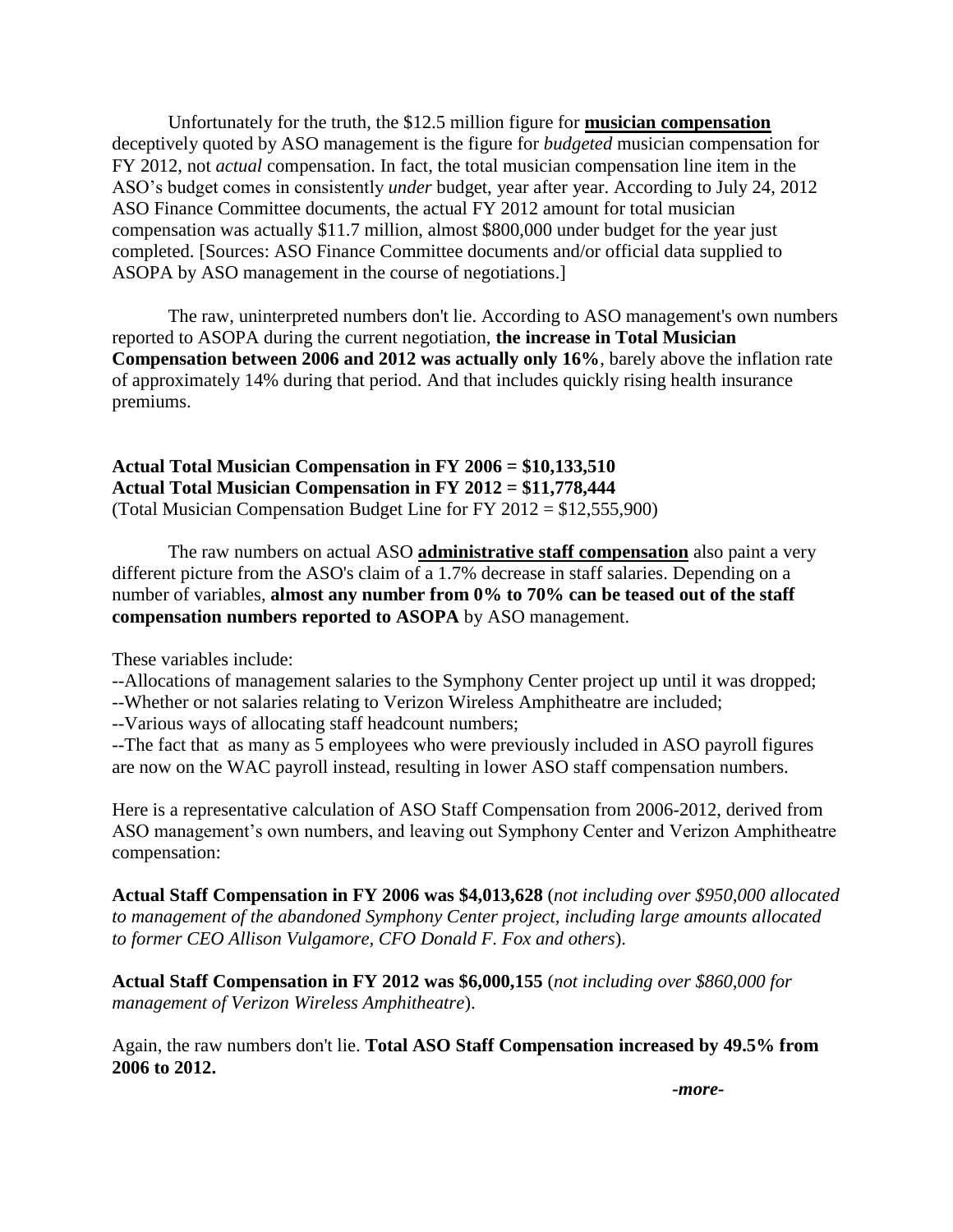Unfortunately for the truth, the \$12.5 million figure for **musician compensation** deceptively quoted by ASO management is the figure for *budgeted* musician compensation for FY 2012, not *actual* compensation. In fact, the total musician compensation line item in the ASO's budget comes in consistently *under* budget, year after year. According to July 24, 2012 ASO Finance Committee documents, the actual FY 2012 amount for total musician compensation was actually \$11.7 million, almost \$800,000 under budget for the year just completed. [Sources: ASO Finance Committee documents and/or official data supplied to ASOPA by ASO management in the course of negotiations.]

The raw, uninterpreted numbers don't lie. According to ASO management's own numbers reported to ASOPA during the current negotiation, **the increase in Total Musician Compensation between 2006 and 2012 was actually only 16%**, barely above the inflation rate of approximately 14% during that period. And that includes quickly rising health insurance premiums.

**Actual Total Musician Compensation in FY 2006 = \$10,133,510 Actual Total Musician Compensation in FY 2012 = \$11,778,444** (Total Musician Compensation Budget Line for FY 2012 = \$12,555,900)

The raw numbers on actual ASO **administrative staff compensation** also paint a very different picture from the ASO's claim of a 1.7% decrease in staff salaries. Depending on a number of variables, **almost any number from 0% to 70% can be teased out of the staff compensation numbers reported to ASOPA** by ASO management.

These variables include:

--Allocations of management salaries to the Symphony Center project up until it was dropped;

--Whether or not salaries relating to Verizon Wireless Amphitheatre are included;

--Various ways of allocating staff headcount numbers;

--The fact that as many as 5 employees who were previously included in ASO payroll figures are now on the WAC payroll instead, resulting in lower ASO staff compensation numbers.

Here is a representative calculation of ASO Staff Compensation from 2006-2012, derived from ASO management's own numbers, and leaving out Symphony Center and Verizon Amphitheatre compensation:

**Actual Staff Compensation in FY 2006 was \$4,013,628** (*not including over \$950,000 allocated to management of the abandoned Symphony Center project, including large amounts allocated to former CEO Allison Vulgamore, CFO Donald F. Fox and others*).

**Actual Staff Compensation in FY 2012 was \$6,000,155** (*not including over \$860,000 for management of Verizon Wireless Amphitheatre*).

Again, the raw numbers don't lie. **Total ASO Staff Compensation increased by 49.5% from 2006 to 2012.**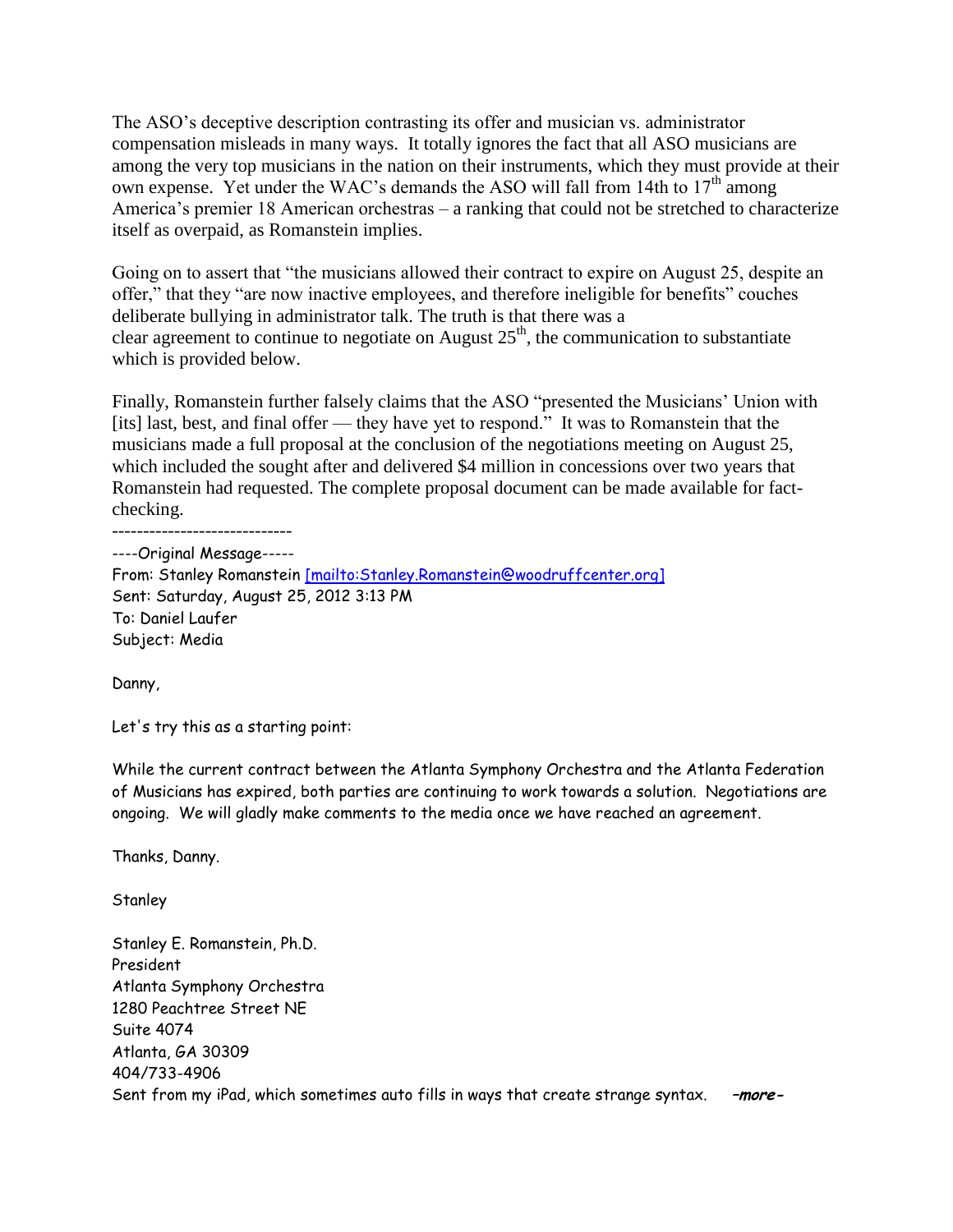The ASO's deceptive description contrasting its offer and musician vs. administrator compensation misleads in many ways. It totally ignores the fact that all ASO musicians are among the very top musicians in the nation on their instruments, which they must provide at their own expense. Yet under the WAC's demands the ASO will fall from 14th to  $17<sup>th</sup>$  among America's premier 18 American orchestras – a ranking that could not be stretched to characterize itself as overpaid, as Romanstein implies.

Going on to assert that "the musicians allowed their contract to expire on August 25, despite an offer," that they "are now inactive employees, and therefore ineligible for benefits" couches deliberate bullying in administrator talk. The truth is that there was a clear agreement to continue to negotiate on August  $25<sup>th</sup>$ , the communication to substantiate which is provided below.

Finally, Romanstein further falsely claims that the ASO "presented the Musicians' Union with [its] last, best, and final offer — they have yet to respond." It was to Romanstein that the musicians made a full proposal at the conclusion of the negotiations meeting on August 25, which included the sought after and delivered \$4 million in concessions over two years that Romanstein had requested. The complete proposal document can be made available for factchecking.

-----------------------------

----Original Message----- From: Stanley Romanstein [\[mailto:Stanley.Romanstein@woodruffcenter.org\]](mailto:%5Bmailto:Stanley.Romanstein@woodruffcenter.org%5D) Sent: Saturday, August 25, 2012 3:13 PM To: Daniel Laufer Subject: Media

Danny,

Let's try this as a starting point:

While the current contract between the Atlanta Symphony Orchestra and the Atlanta Federation of Musicians has expired, both parties are continuing to work towards a solution. Negotiations are ongoing. We will gladly make comments to the media once we have reached an agreement.

Thanks, Danny.

**Stanley** 

Stanley E. Romanstein, Ph.D. President Atlanta Symphony Orchestra 1280 Peachtree Street NE Suite 4074 Atlanta, GA 30309 404/733-4906 Sent from my iPad, which sometimes auto fills in ways that create strange syntax. **–more-**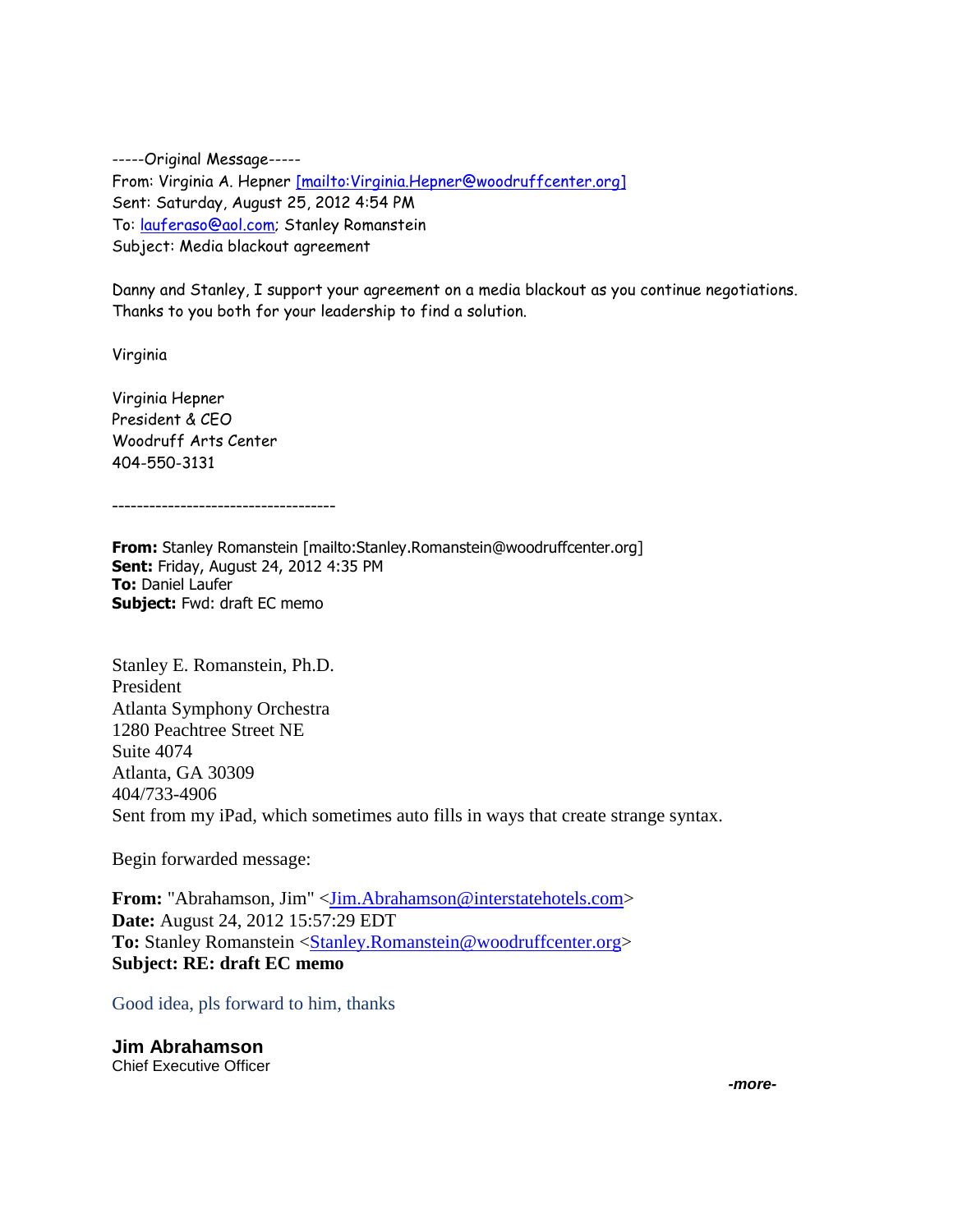-----Original Message----- From: Virginia A. Hepner [mailto: Virginia.Hepner@woodruffcenter.org] Sent: Saturday, August 25, 2012 4:54 PM To: [lauferaso@aol.com;](mailto:lauferaso@aol.com) Stanley Romanstein Subject: Media blackout agreement

Danny and Stanley, I support your agreement on a media blackout as you continue negotiations. Thanks to you both for your leadership to find a solution.

Virginia

Virginia Hepner President & CEO Woodruff Arts Center 404-550-3131

------------------------------------

**From:** Stanley Romanstein [mailto:Stanley.Romanstein@woodruffcenter.org] **Sent:** Friday, August 24, 2012 4:35 PM **To:** Daniel Laufer **Subject:** Fwd: draft EC memo

Stanley E. Romanstein, Ph.D. President Atlanta Symphony Orchestra 1280 Peachtree Street NE Suite 4074 Atlanta, GA 30309 404/733-4906 Sent from my iPad, which sometimes auto fills in ways that create strange syntax.

Begin forwarded message:

**From:** "Abrahamson, Jim" [<Jim.Abrahamson@interstatehotels.com>](mailto:Jim.Abrahamson@interstatehotels.com) **Date:** August 24, 2012 15:57:29 EDT To: Stanley Romanstein [<Stanley.Romanstein@woodruffcenter.org>](mailto:Stanley.Romanstein@woodruffcenter.org) **Subject: RE: draft EC memo**

Good idea, pls forward to him, thanks

**Jim Abrahamson** Chief Executive Officer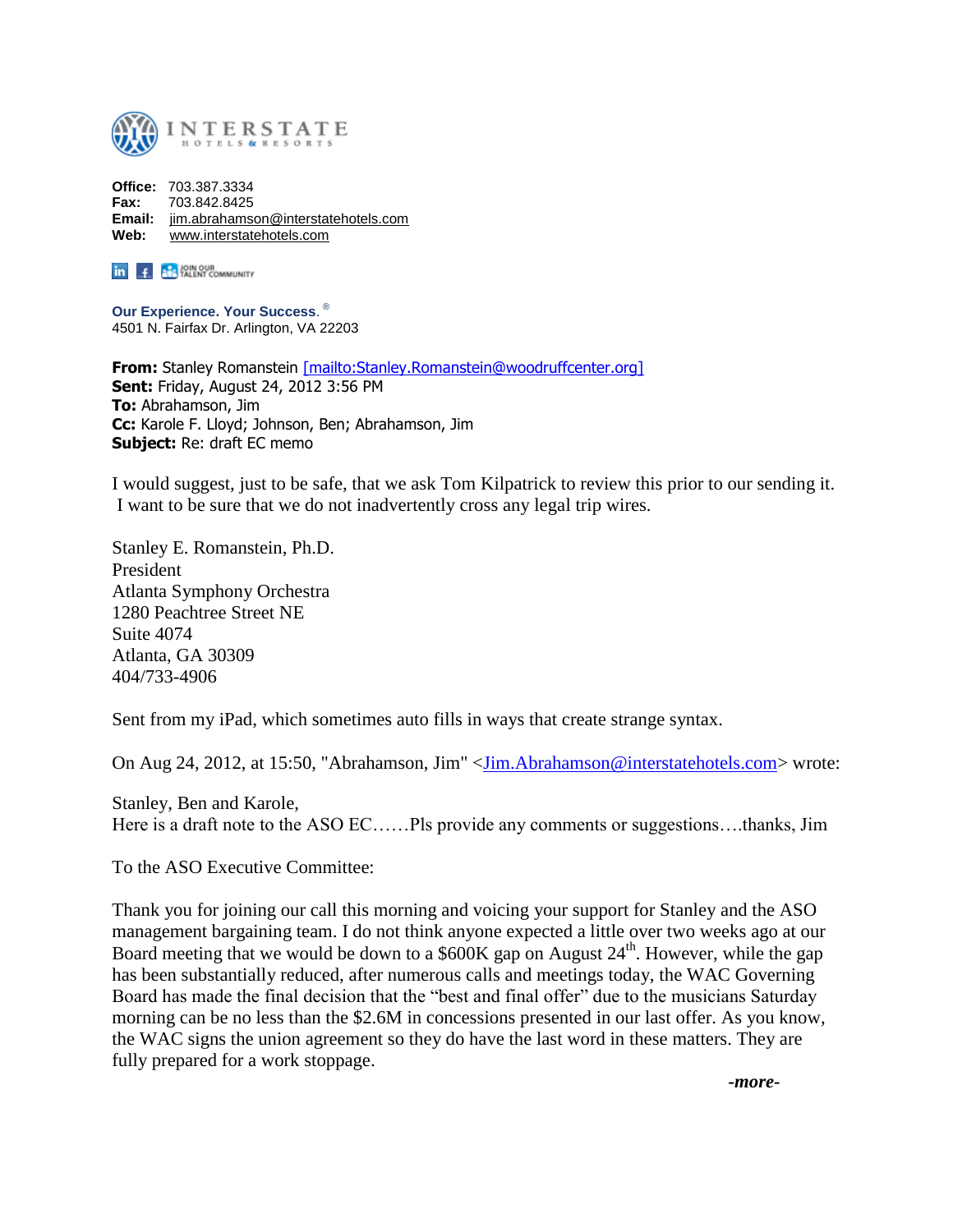

**Office:** 703.387.3334 **Fax:** 703.842.8425 **Email:** [jim.abrahamson@interstatehotels.com](mailto:jim.abrahamson@interstatehotels.com) **Web:** [www.interstatehotels.com](http://www.interstatehotels.com/)

**in f P.** JOIN OUR COMMUNITY

**Our Experience. Your Success**. ® 4501 N. Fairfax Dr. Arlington, VA 22203

From: Stanley Romanstein [\[mailto:Stanley.Romanstein@woodruffcenter.org\]](mailto:%5Bmailto:Stanley.Romanstein@woodruffcenter.org%5D) **Sent:** Friday, August 24, 2012 3:56 PM **To:** Abrahamson, Jim **Cc:** Karole F. Lloyd; Johnson, Ben; Abrahamson, Jim **Subject:** Re: draft EC memo

I would suggest, just to be safe, that we ask Tom Kilpatrick to review this prior to our sending it. I want to be sure that we do not inadvertently cross any legal trip wires.

Stanley E. Romanstein, Ph.D. President Atlanta Symphony Orchestra 1280 Peachtree Street NE Suite 4074 Atlanta, GA 30309 404/733-4906

Sent from my iPad, which sometimes auto fills in ways that create strange syntax.

On Aug 24, 2012, at 15:50, "Abrahamson, Jim" [<Jim.Abrahamson@interstatehotels.com>](mailto:Jim.Abrahamson@interstatehotels.com) wrote:

Stanley, Ben and Karole, Here is a draft note to the ASO EC……Pls provide any comments or suggestions....thanks, Jim

To the ASO Executive Committee:

Thank you for joining our call this morning and voicing your support for Stanley and the ASO management bargaining team. I do not think anyone expected a little over two weeks ago at our Board meeting that we would be down to a \$600K gap on August  $24<sup>th</sup>$ . However, while the gap has been substantially reduced, after numerous calls and meetings today, the WAC Governing Board has made the final decision that the "best and final offer" due to the musicians Saturday morning can be no less than the \$2.6M in concessions presented in our last offer. As you know, the WAC signs the union agreement so they do have the last word in these matters. They are fully prepared for a work stoppage.